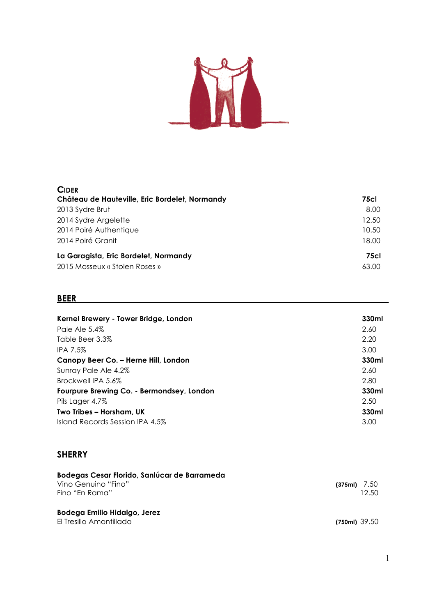

| <b>CIDER</b>                                   |       |
|------------------------------------------------|-------|
| Château de Hauteville, Eric Bordelet, Normandy | 75cl  |
| 2013 Sydre Brut                                | 8.00  |
| 2014 Sydre Argelette                           | 12.50 |
| 2014 Poiré Authentique                         | 10.50 |
| 2014 Poiré Granit                              | 18.00 |
| La Garagista, Eric Bordelet, Normandy          | 75cl  |
| 2015 Mosseux « Stolen Roses »                  | 63.00 |

#### **BEER**

| Kernel Brewery - Tower Bridge, London     | 330ml |
|-------------------------------------------|-------|
| Pale Ale 5.4%                             | 2.60  |
| Table Beer 3.3%                           | 2.20  |
| <b>IPA 7.5%</b>                           | 3.00  |
| Canopy Beer Co. – Herne Hill, London      | 330ml |
| Sunray Pale Ale 4.2%                      | 2.60  |
| Brockwell IPA 5.6%                        | 2.80  |
| Fourpure Brewing Co. - Bermondsey, London | 330ml |
| Pils Lager 4.7%                           | 2.50  |
| Two Tribes - Horsham, UK                  | 330ml |
| Island Records Session IPA 4.5%           | 3.00  |

### **SHERRY**

| Bodegas Cesar Florido, Sanlúcar de Barrameda |                |
|----------------------------------------------|----------------|
| Vino Genuino "Fino"                          | $(375ml)$ 7.50 |
| Fino "En Rama"                               | 12.50          |
| Bodega Emilio Hidalgo, Jerez                 |                |
| El Tresillo Amontillado                      | $(750m)$ 39.50 |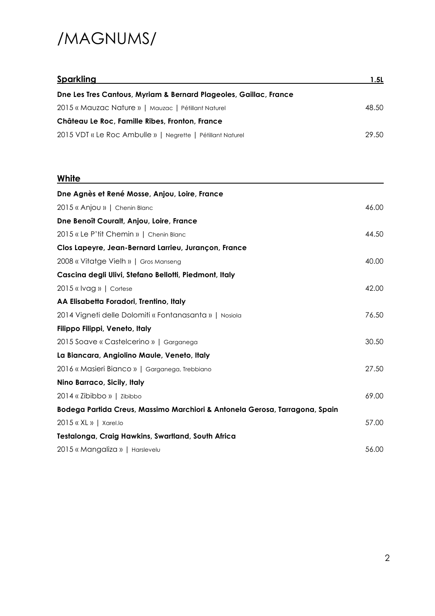## /MAGNUMS/

| <b>Sparkling</b>                                                  | 1.5L  |
|-------------------------------------------------------------------|-------|
| Dne Les Tres Cantous, Myriam & Bernard Plageoles, Gaillac, France |       |
| 2015 « Mauzac Nature »   Mauzac   Pétillant Naturel               | 48.50 |
| Château Le Roc, Famille Ribes, Fronton, France                    |       |
| 2015 VDT « Le Roc Ambulle »   Negrette   Pétillant Naturel        | 29.50 |

### **White**

| Dne Agnès et René Mosse, Anjou, Loire, France                               |       |
|-----------------------------------------------------------------------------|-------|
| 2015 « Anjou »   Chenin Blanc                                               | 46.00 |
| Dne Benoît Couralt, Anjou, Loire, France                                    |       |
| 2015 « Le P'tit Chemin »   Chenin Blanc                                     | 44.50 |
| Clos Lapeyre, Jean-Bernard Larrieu, Jurançon, France                        |       |
| 2008 « Vitatge Vielh »   Gros Manseng                                       | 40.00 |
| Cascina degli Ulivi, Stefano Bellotti, Piedmont, Italy                      |       |
| 2015 « Ivag »   Cortese                                                     | 42.00 |
| AA Elisabetta Foradori, Trentino, Italy                                     |       |
| 2014 Vigneti delle Dolomiti « Fontanasanta »   Nosiola                      | 76.50 |
| Filippo Filippi, Veneto, Italy                                              |       |
| 2015 Soave « Castelcerino »   Garganega                                     | 30.50 |
| La Biancara, Angiolino Maule, Veneto, Italy                                 |       |
| 2016 « Masieri Bianco »   Garganega, Trebbiano                              | 27.50 |
| Nino Barraco, Sicily, Italy                                                 |       |
| 2014 « Zibibbo »   Zibibbo                                                  | 69.00 |
| Bodega Partida Creus, Massimo Marchiori & Antonela Gerosa, Tarragona, Spain |       |
| $2015$ « XL »   Xarel.lo                                                    | 57.00 |
| Testalonga, Craig Hawkins, Swartland, South Africa                          |       |
| 2015 « Mangaliza »   Harslevelu                                             | 56.00 |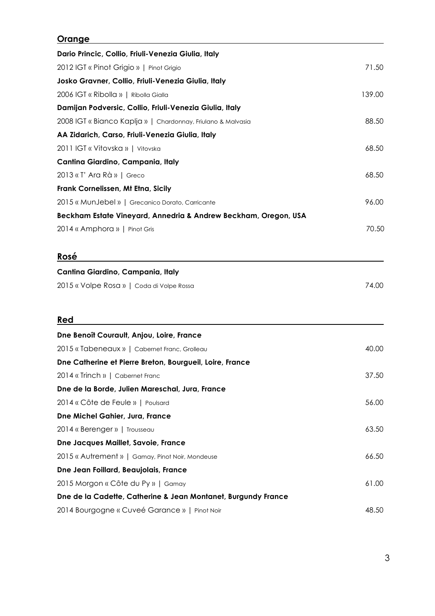#### **Orange**

| Dario Princic, Collio, Friuli-Venezia Giulia, Italy                                                                                                                                                                                                                         |                                   |       |
|-----------------------------------------------------------------------------------------------------------------------------------------------------------------------------------------------------------------------------------------------------------------------------|-----------------------------------|-------|
| 2012 IGT « Pinot Grigio »   Pinot Grigio                                                                                                                                                                                                                                    | 71.50                             |       |
| Josko Gravner, Collio, Friuli-Venezia Giulia, Italy<br>2006 IGT « Ribolla »   Ribolla Gialla<br>Damijan Podversic, Collio, Friuli-Venezia Giulia, Italy<br>2008 IGT « Bianco Kaplja »   Chardonnay, Friulano & Malvasia<br>AA Zidarich, Carso, Friuli-Venezia Giulia, Italy | 139.00                            |       |
|                                                                                                                                                                                                                                                                             |                                   | 88.50 |
|                                                                                                                                                                                                                                                                             |                                   |       |
|                                                                                                                                                                                                                                                                             | 2011 IGT « Vitovska »   Vitovska  | 68.50 |
|                                                                                                                                                                                                                                                                             | Cantina Giardino, Campania, Italy |       |
| 2013 « T' Ara Rà »   Greco                                                                                                                                                                                                                                                  | 68.50                             |       |
| Frank Cornelissen, Mt Etna, Sicily                                                                                                                                                                                                                                          |                                   |       |
| 2015 « MunJebel »   Grecanico Dorato, Carricante                                                                                                                                                                                                                            | 96.00                             |       |
| Beckham Estate Vineyard, Annedria & Andrew Beckham, Oregon, USA                                                                                                                                                                                                             |                                   |       |
| 2014 « Amphora »   Pinot Gris                                                                                                                                                                                                                                               | 70.50                             |       |
| Rosé                                                                                                                                                                                                                                                                        |                                   |       |
| Cantina Giardino, Campania, Italy                                                                                                                                                                                                                                           |                                   |       |
| 2015 « Volpe Rosa »   Coda di Volpe Rossa                                                                                                                                                                                                                                   | 74.00                             |       |
| Red                                                                                                                                                                                                                                                                         |                                   |       |
| Dne Benoît Courault, Anjou, Loire, France                                                                                                                                                                                                                                   |                                   |       |
| 2015 « Tabeneaux »   Cabernet Franc, Grolleau                                                                                                                                                                                                                               | 40.00                             |       |
| Dne Catherine et Pierre Breton, Bourgueil, Loire, France                                                                                                                                                                                                                    |                                   |       |
| 2014 « Trinch »   Cabernet Franc                                                                                                                                                                                                                                            | 37.50                             |       |
| Dne de la Borde, Julien Mareschal, Jura, France                                                                                                                                                                                                                             |                                   |       |
| 2014 « Côte de Feule »   Poulsard                                                                                                                                                                                                                                           | 56.00                             |       |
| Dne Michel Gahier, Jura, France                                                                                                                                                                                                                                             |                                   |       |
| 2014 « Berenger »   Trousseau                                                                                                                                                                                                                                               | 63.50                             |       |
| Dne Jacques Maillet, Savoie, France                                                                                                                                                                                                                                         |                                   |       |
| 2015 « Autrement »   Gamay, Pinot Noir, Mondeuse                                                                                                                                                                                                                            | 66.50                             |       |
| Dne Jean Foillard, Beaujolais, France                                                                                                                                                                                                                                       |                                   |       |
| 2015 Morgon « Côte du Py »   Gamay                                                                                                                                                                                                                                          | 61.00                             |       |
| Dne de la Cadette, Catherine & Jean Montanet, Burgundy France                                                                                                                                                                                                               |                                   |       |
| 2014 Bourgogne « Cuveé Garance »   Pinot Noir                                                                                                                                                                                                                               | 48.50                             |       |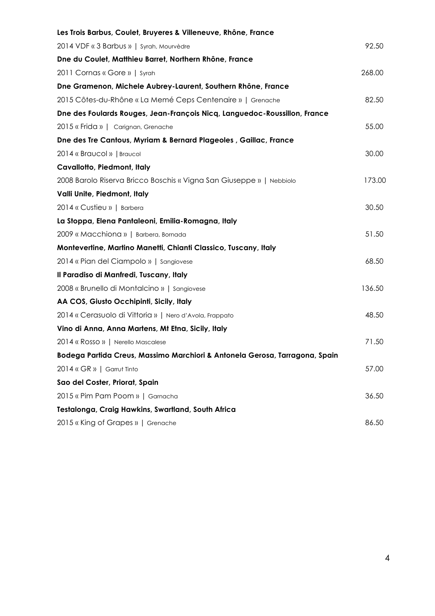| Les Trois Barbus, Coulet, Bruyeres & Villeneuve, Rhône, France              |        |
|-----------------------------------------------------------------------------|--------|
| 2014 VDF « 3 Barbus »   Syrah, Mourvèdre                                    | 92.50  |
| Dne du Coulet, Matthieu Barret, Northern Rhône, France                      |        |
| 2011 Cornas « Gore »   Syrah                                                | 268.00 |
| Dne Gramenon, Michele Aubrey-Laurent, Southern Rhône, France                |        |
| 2015 Côtes-du-Rhône « La Memé Ceps Centenaire »   Grenache                  | 82.50  |
| Dne des Foulards Rouges, Jean-François Nicq, Languedoc-Roussillon, France   |        |
| 2015 « Frida »   Carignan, Grenache                                         | 55.00  |
| Dne des Tre Cantous, Myriam & Bernard Plageoles, Gaillac, France            |        |
| 2014 « Braucol »   Braucol                                                  | 30.00  |
| Cavallotto, Piedmont, Italy                                                 |        |
| 2008 Barolo Riserva Bricco Boschis « Vigna San Giuseppe »   Nebbiolo        | 173.00 |
| Valli Unite, Piedmont, Italy                                                |        |
| 2014 « Custieu »   Barbera                                                  | 30.50  |
| La Stoppa, Elena Pantaleoni, Emilia-Romagna, Italy                          |        |
| 2009 « Macchiona »   Barbera, Bornada                                       | 51.50  |
| Montevertine, Martino Manetti, Chianti Classico, Tuscany, Italy             |        |
| 2014 « Pian del Ciampolo »   Sangiovese                                     | 68.50  |
| Il Paradiso di Manfredi, Tuscany, Italy                                     |        |
| 2008 « Brunello di Montalcino »   Sangiovese                                | 136.50 |
| AA COS, Giusto Occhipinti, Sicily, Italy                                    |        |
| 2014 « Cerasuolo di Vittoria »   Nero d'Avola, Frappato                     | 48.50  |
| Vino di Anna, Anna Martens, Mt Etna, Sicily, Italy                          |        |
| 2014 « Rosso »   Nerello Mascalese                                          | 71.50  |
| Bodega Partida Creus, Massimo Marchiori & Antonela Gerosa, Tarragona, Spain |        |
| 2014 « GR »   Garrut Tinto                                                  | 57.00  |
| Sao del Coster, Priorat, Spain                                              |        |
| 2015 « Pim Pam Poom »   Garnacha                                            | 36.50  |
| Testalonga, Craig Hawkins, Swartland, South Africa                          |        |
| 2015 « King of Grapes »   Grenache                                          | 86.50  |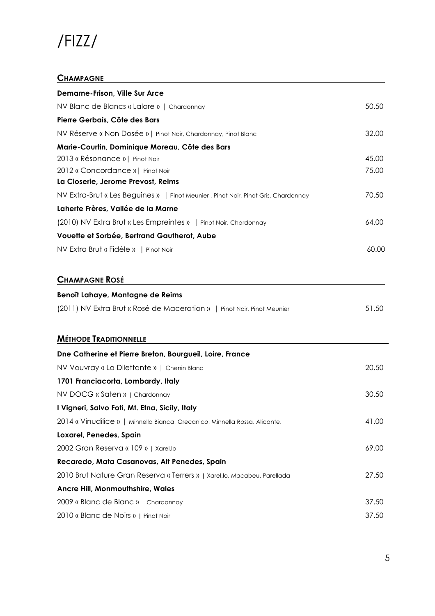## /FIZZ/

#### **CHAMPAGNE**

| <b>Demarne-Frison, Ville Sur Arce</b>                                              |       |
|------------------------------------------------------------------------------------|-------|
| NV Blanc de Blancs « Lalore »   Chardonnay                                         | 50.50 |
| Pierre Gerbais, Côte des Bars                                                      |       |
| NV Réserve « Non Dosée »   Pinot Noir, Chardonnay, Pinot Blanc                     | 32.00 |
| Marie-Courtin, Dominique Moreau, Côte des Bars                                     |       |
| 2013 « Résonance »   Pinot Noir                                                    | 45.00 |
| 2012 « Concordance »   Pinot Noir                                                  | 75.00 |
| La Closerie, Jerome Prevost, Reims                                                 |       |
| NV Extra-Brut « Les Beguines »   Pinot Meunier, Pinot Noir, Pinot Gris, Chardonnay | 70.50 |
| Laherte Frères, Vallée de la Marne                                                 |       |
| (2010) NV Extra Brut « Les Empreintes »   Pinot Noir, Chardonnay                   | 64.00 |
| Vouette et Sorbée, Bertrand Gautherot, Aube                                        |       |
| NV Extra Brut « Fidèle »   Pinot Noir                                              | 60.00 |
| <b>CHAMPAGNE ROSÉ</b>                                                              |       |
| Benoît Lahaye, Montagne de Reims                                                   |       |
| (2011) NV Extra Brut « Rosé de Maceration »   Pinot Noir, Pinot Meunier            | 51.50 |
| <b>MÉTHODE TRADITIONNELLE</b>                                                      |       |
| Dne Catherine et Pierre Breton, Bourgueil, Loire, France                           |       |
| NV Vouvray « La Dilettante »   Chenin Blanc                                        | 20.50 |
| 1701 Franciacorta, Lombardy, Italy                                                 |       |
| NV DOCG « Saten »   Chardonnay                                                     | 30.50 |
| I Vigneri, Salvo Foti, Mt. Etna, Sicily, Italy                                     |       |
| 2014 « Vinudilice »   Minnella Bianca, Grecanico, Minnella Rossa, Alicante,        | 41.00 |
| Loxarel, Penedes, Spain                                                            |       |
| 2002 Gran Reserva « 109 »   Xarel.lo                                               | 69.00 |
| Recaredo, Mata Casanovas, Alt Penedes, Spain                                       |       |
| 2010 Brut Nature Gran Reserva « Terrers »   Xarel.lo, Macabeu, Parellada           | 27.50 |
| Ancre Hill, Monmouthshire, Wales                                                   |       |
| 2009 « Blanc de Blanc »   Chardonnay                                               | 37.50 |
| 2010 « Blanc de Noirs »   Pinot Noir                                               | 37.50 |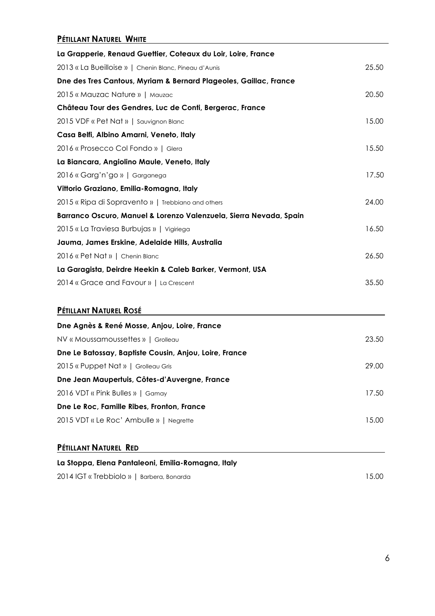#### **PÉTILLANT NATUREL WHITE**

| La Grapperie, Renaud Guettier, Coteaux du Loir, Loire, France      |       |
|--------------------------------------------------------------------|-------|
| 2013 « La Bueilloise »   Chenin Blanc, Pineau d'Aunis              | 25.50 |
| Dne des Tres Cantous, Myriam & Bernard Plageoles, Gaillac, France  |       |
| 2015 « Mauzac Nature »   Mauzac                                    | 20.50 |
| Château Tour des Gendres, Luc de Conti, Bergerac, France           |       |
| 2015 VDF « Pet Nat »   Sauvignon Blanc                             | 15.00 |
| Casa Belfi, Albino Amarni, Veneto, Italy                           |       |
| 2016 « Prosecco Col Fondo »   Glera                                | 15.50 |
| La Biancara, Angiolino Maule, Veneto, Italy                        |       |
| 2016 « Garg'n'go »   Garganega                                     | 17.50 |
| Vittorio Graziano, Emilia-Romagna, Italy                           |       |
| 2015 « Ripa di Sopravento »   Trebbiano and others                 | 24.00 |
| Barranco Oscuro, Manuel & Lorenzo Valenzuela, Sierra Nevada, Spain |       |
| 2015 « La Traviesa Burbujas »   Vigiriega                          | 16.50 |
| Jauma, James Erskine, Adelaide Hills, Australia                    |       |
| 2016 « Pet Nat »   Chenin Blanc                                    | 26.50 |
| La Garagista, Deirdre Heekin & Caleb Barker, Vermont, USA          |       |
| 2014 « Grace and Favour »   La Crescent                            | 35.50 |
|                                                                    |       |
| PÉTILLANT NATUREL ROSÉ                                             |       |
| Dne Agnès & René Mosse, Anjou, Loire, France                       |       |
| NV « Moussamoussettes »   Grolleau                                 | 23.50 |
| Dne Le Batossay, Baptiste Cousin, Anjou, Loire, France             |       |
| 2015 « Puppet Nat »   Grolleau Gris                                | 29.00 |
| Dne Jean Maupertuis, Côtes-d'Auvergne, France                      |       |
| 2016 VDT « Pink Bulles »   Gamay                                   | 17.50 |

**Dne Le Roc, Famille Ribes, Fronton, France** 2015 VDT « Le Roc' Ambulle » | Negrette 15.00

#### **PÉTILLANT NATUREL RED**

| La Stoppa, Elena Pantaleoni, Emilia-Romagna, Italy |       |
|----------------------------------------------------|-------|
| 2014 IGT « Trebbiolo »   Barbera, Bonarda          | 15.00 |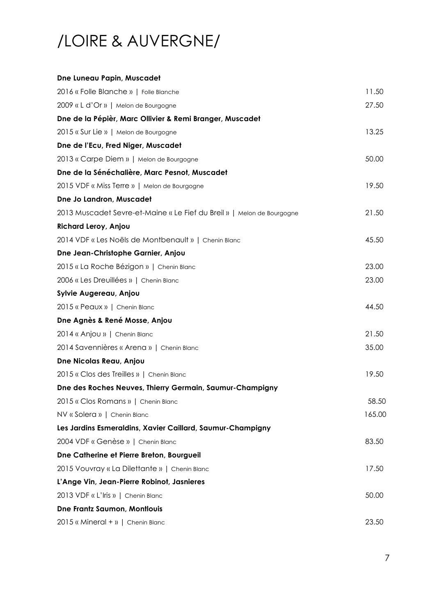# /LOIRE & AUVERGNE/

#### **Dne Luneau Papin, Muscadet**

| 2016 « Folle Blanche »   Folle Blanche                                 | 11.50  |
|------------------------------------------------------------------------|--------|
| 2009 « L d'Or »   Melon de Bourgogne                                   | 27.50  |
| Dne de la Pépièr, Marc Ollivier & Remi Branger, Muscadet               |        |
| 2015 « Sur Lie »   Melon de Bourgogne                                  | 13.25  |
| Dne de l'Ecu, Fred Niger, Muscadet                                     |        |
| 2013 « Carpe Diem »   Melon de Bourgogne                               | 50.00  |
| Dne de la Sénéchalière, Marc Pesnot, Muscadet                          |        |
| 2015 VDF « Miss Terre »   Melon de Bourgogne                           | 19.50  |
| Dne Jo Landron, Muscadet                                               |        |
| 2013 Muscadet Sevre-et-Maine « Le Fief du Breil »   Melon de Bourgogne | 21.50  |
| Richard Leroy, Anjou                                                   |        |
| 2014 VDF « Les Noëls de Montbenault »   Chenin Blanc                   | 45.50  |
| Dne Jean-Christophe Garnier, Anjou                                     |        |
| 2015 « La Roche Bézigon »   Chenin Blanc                               | 23.00  |
| 2006 « Les Dreuillées »   Chenin Blanc                                 | 23.00  |
| Sylvie Augereau, Anjou                                                 |        |
| 2015 « Peaux »   Chenin Blanc                                          | 44.50  |
| Dne Agnès & René Mosse, Anjou                                          |        |
| 2014 « Anjou »   Chenin Blanc                                          | 21.50  |
| 2014 Savennières « Arena »   Chenin Blanc                              | 35.00  |
| Dne Nicolas Reau, Anjou                                                |        |
| 2015 « Clos des Treilles »   Chenin Blanc                              | 19.50  |
| Dne des Roches Neuves, Thierry Germain, Saumur-Champigny               |        |
| 2015 « Clos Romans »   Chenin Blanc                                    | 58.50  |
| NV « Solera »   Chenin Blanc                                           | 165.00 |
| Les Jardins Esmeraldins, Xavier Caillard, Saumur-Champigny             |        |
| 2004 VDF « Genèse »   Chenin Blanc                                     | 83.50  |
| Dne Catherine et Pierre Breton, Bourgueil                              |        |
| 2015 Vouvray « La Dilettante »   Chenin Blanc                          | 17.50  |
| L'Ange Vin, Jean-Pierre Robinot, Jasnieres                             |        |
| 2013 VDF « L'Iris »   Chenin Blanc                                     | 50.00  |
| Dne Frantz Saumon, Montlouis                                           |        |
| $2015$ « Mineral + »   Chenin Blanc                                    | 23.50  |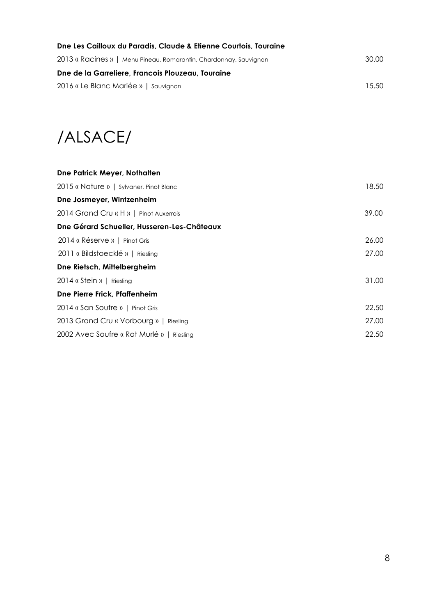| Dne Les Cailloux du Paradis, Claude & Etienne Courtois, Touraine  |       |
|-------------------------------------------------------------------|-------|
| 2013 « Racines »   Menu Pineau, Romarantin, Chardonnay, Sauvignon | 30.00 |
| Dne de la Garreliere, Francois Plouzeau, Touraine                 |       |
| 2016 « Le Blanc Mariée »   Sauvignon                              | 15.50 |

/ALSACE/

| Dne Patrick Meyer, Nothalten                |       |
|---------------------------------------------|-------|
| 2015 « Nature »   Sylvaner, Pinot Blanc     | 18.50 |
| Dne Josmeyer, Wintzenheim                   |       |
| 2014 Grand Cru « H »   Pinot Auxerrois      | 39.00 |
| Dne Gérard Schueller, Husseren-Les-Châteaux |       |
| 2014 « Réserve »   Pinot Gris               | 26.00 |
| 2011 « Bildstoecklé »   Riesling            | 27.00 |
| Dne Rietsch, Mittelbergheim                 |       |
| 2014 « Stein »   Riesling                   | 31.00 |
| Dne Pierre Frick, Pfaffenheim               |       |
| 2014 « San Soufre »   Pinot Gris            | 22.50 |
| 2013 Grand Cru « Vorbourg »   Riesling      | 27.00 |
| 2002 Avec Soufre « Rot Murlé »   Riesling   | 22.50 |
|                                             |       |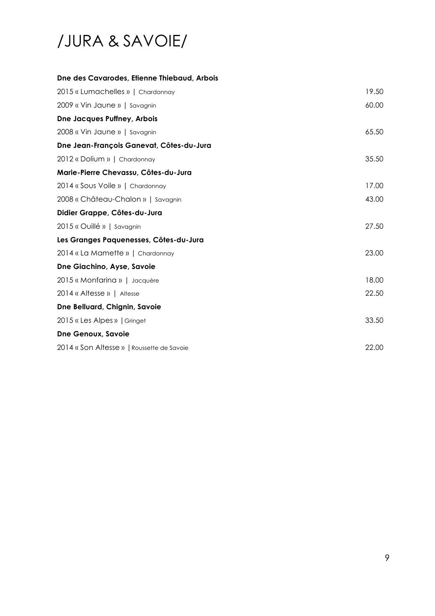# /JURA & SAVOIE/

| Dne des Cavarodes, Etienne Thiebaud, Arbois |       |
|---------------------------------------------|-------|
| 2015 « Lumachelles »   Chardonnay           | 19.50 |
| 2009 « Vin Jaune »   Savagnin               | 60.00 |
| Dne Jacques Puffney, Arbois                 |       |
| 2008 « Vin Jaune »   Savagnin               | 65.50 |
| Dne Jean-François Ganevat, Côtes-du-Jura    |       |
| 2012 « Dolium »   Chardonnay                | 35.50 |
| Marie-Pierre Chevassu, Côtes-du-Jura        |       |
| 2014 « Sous Voile »   Chardonnay            | 17.00 |
| 2008 « Château-Chalon »   Savagnin          | 43.00 |
| Didier Grappe, Côtes-du-Jura                |       |
| 2015 « Ouillé »   Savagnin                  | 27.50 |
| Les Granges Paquenesses, Côtes-du-Jura      |       |
| 2014 « La Mamette »   Chardonnay            | 23.00 |
| Dne Giachino, Ayse, Savoie                  |       |
| 2015 « Monfarina »   Jacquère               | 18.00 |
| 2014 « Altesse »   Altesse                  | 22.50 |
| Dne Belluard, Chignin, Savoie               |       |
| 2015 « Les Alpes »   Gringet                | 33.50 |
| Dne Genoux, Savoie                          |       |
| 2014 « Son Altesse »   Roussette de Savoie  | 22.00 |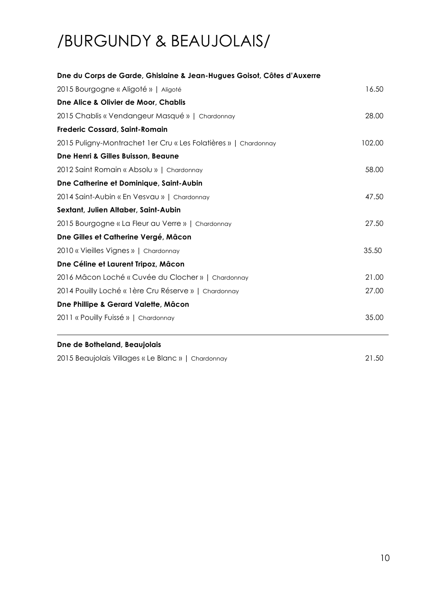# /BURGUNDY & BEAUJOLAIS/

| Dne du Corps de Garde, Ghislaine & Jean-Hugues Goisot, Côtes d'Auxerre |        |
|------------------------------------------------------------------------|--------|
| 2015 Bourgogne « Aligoté »   Aligoté                                   | 16.50  |
| Dne Alice & Olivier de Moor, Chablis                                   |        |
| 2015 Chablis « Vendangeur Masqué »   Chardonnay                        | 28.00  |
| <b>Frederic Cossard, Saint-Romain</b>                                  |        |
| 2015 Puligny-Montrachet 1er Cru « Les Folatières »   Chardonnay        | 102.00 |
| Dne Henri & Gilles Buisson, Beaune                                     |        |
| 2012 Saint Romain « Absolu »   Chardonnay                              | 58.00  |
| Dne Catherine et Dominique, Saint-Aubin                                |        |
| 2014 Saint-Aubin « En Vesvau »   Chardonnay                            | 47.50  |
| Sextant, Julien Altaber, Saint-Aubin                                   |        |
| 2015 Bourgogne « La Fleur au Verre »   Chardonnay                      | 27.50  |
| Dne Gilles et Catherine Vergé, Mâcon                                   |        |
| 2010 « Vieilles Vignes »   Chardonnay                                  | 35.50  |
| Dne Céline et Laurent Tripoz, Mâcon                                    |        |
| 2016 Mâcon Loché « Cuvée du Clocher »   Chardonnay                     | 21.00  |
| 2014 Pouilly Loché « 1ère Cru Réserve »   Chardonnay                   | 27.00  |
| Dne Phillipe & Gerard Valette, Mâcon                                   |        |
| 2011 « Pouilly Fuissé »   Chardonnay                                   | 35.00  |
| Dne de Botheland, Beaujolais                                           |        |

2015 Beaujolais Villages « Le Blanc » | Chardonnay 21.50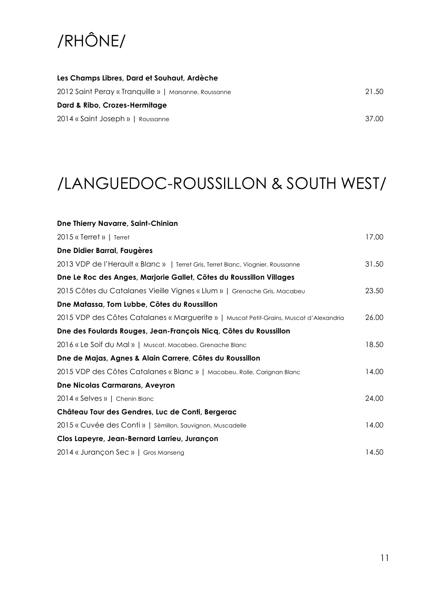# /RHÔNE/

| Les Champs Libres, Dard et Souhaut, Ardèche           |       |
|-------------------------------------------------------|-------|
| 2012 Saint Peray « Tranquille »   Marsanne, Roussanne | 21.50 |
| Dard & Ribo, Crozes-Hermitage                         |       |
| 2014 « Saint Joseph »   Roussanne                     | 37.00 |

## /LANGUEDOC-ROUSSILLON & SOUTH WEST/

| Dne Thierry Navarre, Saint-Chinian                                                     |       |
|----------------------------------------------------------------------------------------|-------|
| 2015 « Terret »   Terret                                                               | 17.00 |
| Dne Didier Barral, Faugères                                                            |       |
| 2013 VDP de l'Herault « Blanc »   Terret Gris, Terret Blanc, Viognier, Roussanne       | 31.50 |
| Dne Le Roc des Anges, Marjorie Gallet, Côtes du Roussillon Villages                    |       |
| 2015 Côtes du Catalanes Vieille Vignes « Llum »   Grenache Gris, Macabeu               | 23.50 |
| Dne Matassa, Tom Lubbe, Côtes du Roussillon                                            |       |
| 2015 VDP des Côtes Catalanes « Marguerite »   Muscat Petit-Grains, Muscat d'Alexandria | 26.00 |
| Dne des Foulards Rouges, Jean-François Nicq, Côtes du Roussillon                       |       |
| 2016 « Le Soif du Mal »   Muscat, Macabeo, Grenache Blanc                              | 18.50 |
| Dne de Majas, Agnes & Alain Carrere, Côtes du Roussillon                               |       |
| 2015 VDP des Côtes Catalanes « Blanc »   Macabeu, Rolle, Carignan Blanc                | 14.00 |
| <b>Dne Nicolas Carmarans, Aveyron</b>                                                  |       |
| 2014 « Selves »   Chenin Blanc                                                         | 24.00 |
| Château Tour des Gendres, Luc de Conti, Bergerac                                       |       |
| 2015 « Cuvée des Conti »   Sèmillon, Sauvignon, Muscadelle                             | 14.00 |
| Clos Lapeyre, Jean-Bernard Larrieu, Jurançon                                           |       |
| 2014 « Jurançon Sec »   Gros Manseng                                                   | 14.50 |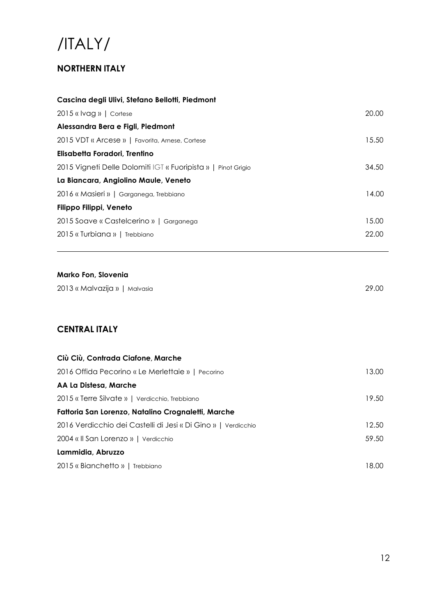## /ITALY/

### **NORTHERN ITALY**

| Cascina degli Ulivi, Stefano Bellotti, Piedmont               |       |
|---------------------------------------------------------------|-------|
| $2015$ « Ivag »   Cortese                                     | 20.00 |
| Alessandra Bera e Figli, Piedmont                             |       |
| 2015 VDT « Arcese »   Favorita, Arnese, Cortese               | 15.50 |
| Elisabetta Foradori, Trentino                                 |       |
| 2015 Vigneti Delle Dolomiti IGT « Fuoripista »   Pinot Grigio | 34.50 |
| La Biancara, Angiolino Maule, Veneto                          |       |
| 2016 « Masieri »   Garganega, Trebbiano                       | 14.00 |
| Filippo Filippi, Veneto                                       |       |
| 2015 Soave « Castelcerino »   Garganega                       | 15.00 |
| 2015 « Turbiana »   Trebbiano                                 | 22.00 |

#### **Marko Fon, Slovenia**

| 2013 « Malvazija »   Malvasia |  | 29.00 |  |
|-------------------------------|--|-------|--|
|-------------------------------|--|-------|--|

### **CENTRAL ITALY**

| Ciù Ciù, Contrada Ciafone, Marche                             |       |
|---------------------------------------------------------------|-------|
| 2016 Offida Pecorino « Le Merlettaie »   Pecorino             | 13.00 |
| AA La Distesa, Marche                                         |       |
| 2015 « Terre Silvate »   Verdicchio, Trebbiano                | 19.50 |
| Fattoria San Lorenzo, Natalino Crognaletti, Marche            |       |
| 2016 Verdicchio dei Castelli di Jesi « Di Gino »   Verdicchio | 12.50 |
| 2004 « Il San Lorenzo »   Verdicchio                          | 59.50 |
| Lammidia, Abruzzo                                             |       |
| 2015 « Bianchetto »   Trebbiano                               | 18.00 |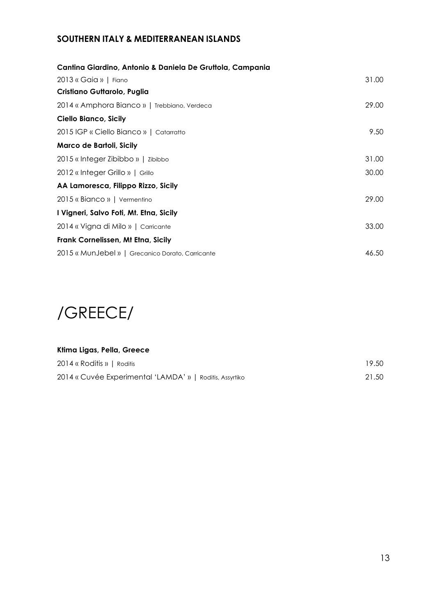### **SOUTHERN ITALY & MEDITERRANEAN ISLANDS**

| Cantina Giardino, Antonio & Daniela De Gruttola, Campania |       |
|-----------------------------------------------------------|-------|
| 2013 « Gaia »   Fiano                                     | 31.00 |
| Cristiano Guttarolo, Puglia                               |       |
| 2014 « Amphora Bianco »   Trebbiano, Verdeca              | 29.00 |
| Ciello Bianco, Sicily                                     |       |
| 2015 IGP « Ciello Bianco »   Catarratto                   | 9.50  |
| Marco de Bartoli, Sicily                                  |       |
| 2015 « Integer Zibibbo »   Zibibbo                        | 31.00 |
| 2012 « Integer Grillo »   Grillo                          | 30.00 |
| AA Lamoresca, Filippo Rizzo, Sicily                       |       |
| 2015 « Bianco »   Vermentino                              | 29.00 |
| I Vigneri, Salvo Foti, Mt. Etna, Sicily                   |       |
| 2014 « Vigna di Milo »   Carricante                       | 33.00 |
| Frank Cornelissen, Mt Etna, Sicily                        |       |
| 2015 « MunJebel »   Grecanico Dorato, Carricante          | 46.50 |



| Ktima Ligas, Pella, Greece                               |       |
|----------------------------------------------------------|-------|
| 2014 « Roditis »   Roditis                               | 19.50 |
| 2014 « Cuvée Experimental 'LAMDA' »   Roditis, Assyrtiko | 21.50 |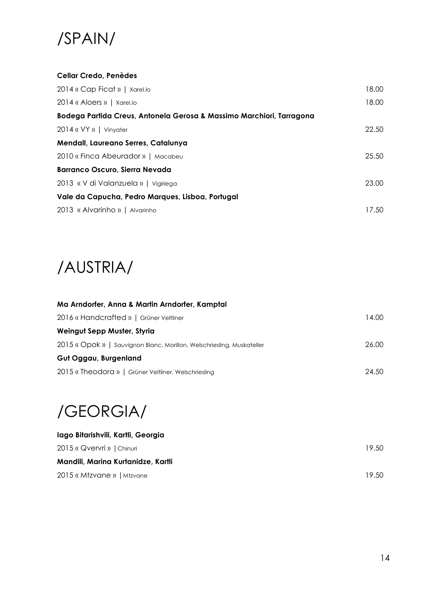

#### **Cellar Credo, Penèdes**

| 2014 « Cap Ficat »   Xarel.lo                                        | 18.00 |
|----------------------------------------------------------------------|-------|
| 2014 « Aloers »   Xarel.lo                                           | 18.00 |
| Bodega Partida Creus, Antonela Gerosa & Massimo Marchiori, Tarragona |       |
| 2014 « VY »   Vinyater                                               | 22.50 |
| Mendall, Laureano Serres, Catalunya                                  |       |
| 2010 « Finca Abeurador »   Macabeu                                   | 25.50 |
| <b>Barranco Oscuro, Sierra Nevada</b>                                |       |
| 2013 « V di Valanzuela »   Vigiriega                                 | 23.00 |
| Vale da Capucha, Pedro Marques, Lisboa, Portugal                     |       |
| 2013 « Alvarinho »   Alvarinho                                       | 17.50 |

## /AUSTRIA/

| Ma Arndorfer, Anna & Martin Arndorfer, Kamptal                         |       |
|------------------------------------------------------------------------|-------|
| 2016 « Handcrafted »   Grüner Veltliner                                | 14.00 |
| Weingut Sepp Muster, Styria                                            |       |
| 2015 « Opok »   Sauvignon Blanc, Morillon, Welschriesling, Muskateller | 26.00 |
| Gut Oggau, Burgenland                                                  |       |
| 2015 « Theodora »   Grüner Veltliner, Welschriesling                   | 24.50 |
|                                                                        |       |

## /GEORGIA/

| lago Bitarishvili, Kartli, Georgia |       |
|------------------------------------|-------|
| 2015 « Qvervri »   Chinuri         | 19.50 |
| Mandili, Marina Kurtanidze, Kartli |       |
| 2015 « Mtzvane »   Mtzvane         | 19.50 |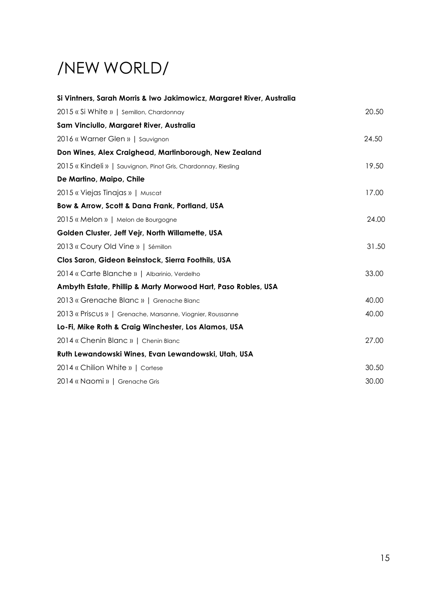# /NEW WORLD/

| Si Vintners, Sarah Morris & Iwo Jakimowicz, Margaret River, Australia |       |
|-----------------------------------------------------------------------|-------|
| 2015 « Si White »   Semillon, Chardonnay                              | 20.50 |
| Sam Vinciullo, Margaret River, Australia                              |       |
| 2016 « Warner Glen »   Sauvignon                                      | 24.50 |
| Don Wines, Alex Craighead, Martinborough, New Zealand                 |       |
| 2015 « Kindeli »   Sauvignon, Pinot Gris, Chardonnay, Riesling        | 19.50 |
| De Martino, Maipo, Chile                                              |       |
| 2015 « Viejas Tinajas »   Muscat                                      | 17.00 |
| Bow & Arrow, Scott & Dana Frank, Portland, USA                        |       |
| 2015 « Melon »   Melon de Bourgogne                                   | 24.00 |
| Golden Cluster, Jeff Vejr, North Willamette, USA                      |       |
| 2013 « Coury Old Vine »   Sémillon                                    | 31.50 |
| Clos Saron, Gideon Beinstock, Sierra Foothils, USA                    |       |
| 2014 « Carte Blanche »   Albarinio, Verdelho                          | 33.00 |
| Ambyth Estate, Phillip & Marty Morwood Hart, Paso Robles, USA         |       |
| 2013 « Grenache Blanc »   Grenache Blanc                              | 40.00 |
| 2013 « Priscus »   Grenache, Marsanne, Viognier, Roussanne            | 40.00 |
| Lo-Fi, Mike Roth & Craig Winchester, Los Alamos, USA                  |       |
| 2014 « Chenin Blanc »   Chenin Blanc                                  | 27.00 |
| Ruth Lewandowski Wines, Evan Lewandowski, Utah, USA                   |       |
| 2014 « Chilion White »   Cortese                                      | 30.50 |
| 2014 « Naomi »   Grenache Gris                                        | 30.00 |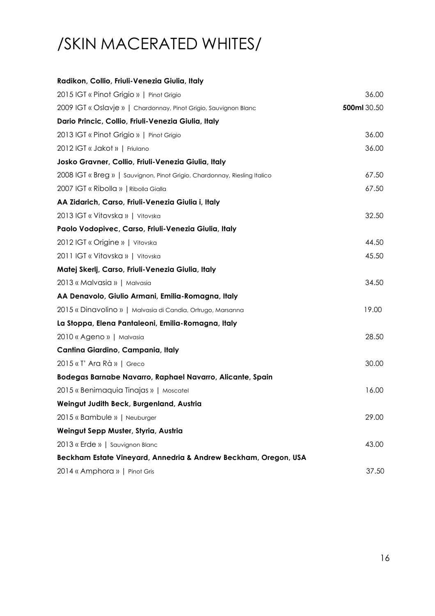# /SKIN MACERATED WHITES/

| Radikon, Collio, Friuli-Venezia Giulia, Italy                             |             |
|---------------------------------------------------------------------------|-------------|
| 2015 IGT « Pinot Grigio »   Pinot Grigio                                  | 36.00       |
| 2009 IGT « Oslavje »   Chardonnay, Pinot Grigio, Sauvignon Blanc          | 500ml 30.50 |
| Dario Princic, Collio, Friuli-Venezia Giulia, Italy                       |             |
| 2013 IGT « Pinot Grigio »   Pinot Grigio                                  | 36.00       |
| 2012 IGT « Jakot »   Friulano                                             | 36.00       |
| Josko Gravner, Collio, Friuli-Venezia Giulia, Italy                       |             |
| 2008 IGT « Breg »   Sauvignon, Pinot Grigio, Chardonnay, Riesling Italico | 67.50       |
| 2007 IGT « Ribolla »   Ribolla Gialla                                     | 67.50       |
| AA Zidarich, Carso, Friuli-Venezia Giulia i, Italy                        |             |
| 2013 IGT « Vitovska »   Vitovska                                          | 32.50       |
| Paolo Vodopivec, Carso, Friuli-Venezia Giulia, Italy                      |             |
| 2012 IGT « Origine »   Vitovska                                           | 44.50       |
| 2011 IGT « Vitovska »   Vitovska                                          | 45.50       |
| Matej Skerlj, Carso, Friuli-Venezia Giulia, Italy                         |             |
| 2013 « Malvasia »   Malvasia                                              | 34.50       |
| AA Denavolo, Giulio Armani, Emilia-Romagna, Italy                         |             |
| 2015 « Dinavolino »   Malvasia di Candia, Ortrugo, Marsanna               | 19.00       |
| La Stoppa, Elena Pantaleoni, Emilia-Romagna, Italy                        |             |
| 2010 « Ageno »   Malvasia                                                 | 28.50       |
| Cantina Giardino, Campania, Italy                                         |             |
| 2015 « T' Ara Rà »   Greco                                                | 30.00       |
| Bodegas Barnabe Navarro, Raphael Navarro, Alicante, Spain                 |             |
| 2015 « Benimaquia Tinajas »   Moscatel                                    | 16.00       |
| Weingut Judith Beck, Burgenland, Austria                                  |             |
| 2015 « Bambule »   Neuburger                                              | 29.00       |
| Weingut Sepp Muster, Styria, Austria                                      |             |
| 2013 « Erde »   Sauvignon Blanc                                           | 43.00       |
| Beckham Estate Vineyard, Annedria & Andrew Beckham, Oregon, USA           |             |
| 2014 « Amphora »   Pinot Gris                                             | 37.50       |
|                                                                           |             |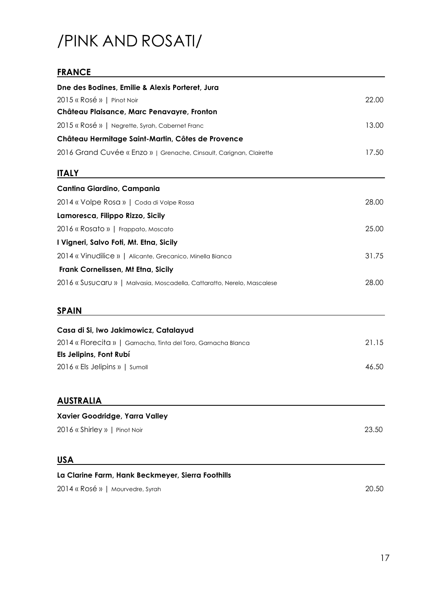# /PINK AND ROSATI/

### **FRANCE**

| Dne des Bodines, Emilie & Alexis Porteret, Jura                         |       |
|-------------------------------------------------------------------------|-------|
| 2015 « Rosé »   Pinot Noir                                              | 22.00 |
| Château Plaisance, Marc Penavayre, Fronton                              |       |
| 2015 « Rosé »   Negrette, Syrah, Cabernet Franc                         | 13.00 |
| Château Hermitage Saint-Martin, Côtes de Provence                       |       |
| 2016 Grand Cuvée « Enzo »   Grenache, Cinsault, Carignan, Clairette     | 17.50 |
| <b>ITALY</b>                                                            |       |
| Cantina Giardino, Campania                                              |       |
| 2014 « Volpe Rosa »   Coda di Volpe Rossa                               | 28.00 |
| Lamoresca, Filippo Rizzo, Sicily                                        |       |
| 2016 « Rosato »   Frappato, Moscato                                     | 25.00 |
| I Vigneri, Salvo Foti, Mt. Etna, Sicily                                 |       |
| 2014 « Vinudilice »   Alicante, Grecanico, Minella Bianca               | 31.75 |
| Frank Cornelissen, Mt Etna, Sicily                                      |       |
| 2016 « Susucaru »   Malvasia, Moscadella, Cattaratto, Nerelo, Mascalese | 28.00 |
| <b>SPAIN</b>                                                            |       |
| Casa di Si, Iwo Jakimowicz, Catalayud                                   |       |
| 2014 « Florecita »   Garnacha, Tinta del Toro, Garnacha Blanca          | 21.15 |
| Els Jelipins, Font Rubí                                                 |       |
| 2016 « Els Jelipins »   Sumoll                                          | 46.50 |
| <b>AUSTRALIA</b>                                                        |       |
| Xavier Goodridge, Yarra Valley                                          |       |
| 2016 « Shirley »   Pinot Noir                                           | 23.50 |
| <u>USA</u>                                                              |       |
| La Clarine Farm, Hank Beckmeyer, Sierra Foothills                       |       |
| 2014 « Rosé »   Mourvedre, Syrah                                        | 20.50 |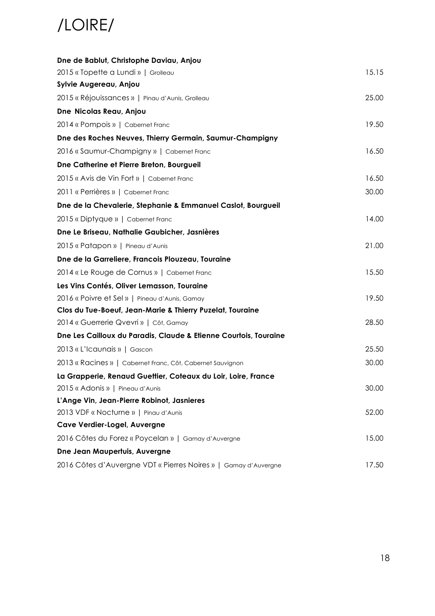# /LOIRE/

| Dne de Bablut, Christophe Daviau, Anjou                          |       |
|------------------------------------------------------------------|-------|
| 2015 «Topette a Lundi »   Grolleau                               | 15.15 |
| Sylvie Augereau, Anjou                                           |       |
| 2015 « Réjouissances »   Pinau d'Aunis, Grolleau                 | 25.00 |
| Dne Nicolas Reau, Anjou                                          |       |
| 2014 « Pompois »   Cabernet Franc                                | 19.50 |
| Dne des Roches Neuves, Thierry Germain, Saumur-Champigny         |       |
| 2016 « Saumur-Champigny »   Cabernet Franc                       | 16.50 |
| Dne Catherine et Pierre Breton, Bourgueil                        |       |
| 2015 « Avis de Vin Fort »   Cabernet Franc                       | 16.50 |
| 2011 « Perrières »   Cabernet Franc                              | 30.00 |
| Dne de la Chevalerie, Stephanie & Emmanuel Caslot, Bourgueil     |       |
| 2015 « Diptyque »   Cabernet Franc                               | 14.00 |
| Dne Le Briseau, Nathalie Gaubicher, Jasnières                    |       |
| 2015 « Patapon »   Pineau d'Aunis                                | 21.00 |
| Dne de la Garreliere, Francois Plouzeau, Touraine                |       |
| 2014 « Le Rouge de Cornus »   Cabernet Franc                     | 15.50 |
| Les Vins Contés, Oliver Lemasson, Touraine                       |       |
| 2016 « Poivre et Sel »   Pineau d'Aunis, Gamay                   | 19.50 |
| Clos du Tue-Boeuf, Jean-Marie & Thierry Puzelat, Touraine        |       |
| 2014 « Guerrerie Qvevri »   Côt, Gamay                           | 28.50 |
| Dne Les Cailloux du Paradis, Claude & Etienne Courtois, Touraine |       |
| 2013 « L'Icaunais »   Gascon                                     | 25.50 |
| 2013 « Racines »   Cabernet Franc, Côt, Cabernet Sauvignon       | 30.00 |
| La Grapperie, Renaud Guettier, Coteaux du Loir, Loire, France    |       |
| 2015 « Adonis »   Pineau d'Aunis                                 | 30.00 |
| L'Ange Vin, Jean-Pierre Robinot, Jasnieres                       |       |
| 2013 VDF « Nocturne »   Pinau d'Aunis                            | 52.00 |
| Cave Verdier-Logel, Auvergne                                     |       |
| 2016 Côtes du Forez « Poycelan »   Gamay d'Auvergne              | 15.00 |
| Dne Jean Maupertuis, Auvergne                                    |       |
| 2016 Côtes d'Auvergne VDT « Pierres Noires »   Gamay d'Auvergne  | 17.50 |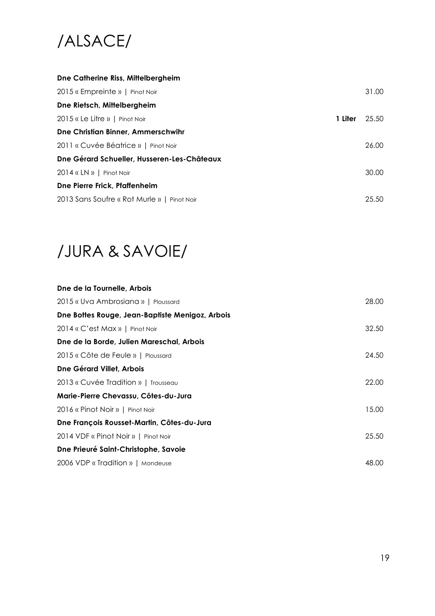# /ALSACE/

| Dne Catherine Riss, Mittelbergheim          |         |       |
|---------------------------------------------|---------|-------|
| 2015 « Empreinte »   Pinot Noir             |         | 31.00 |
| Dne Rietsch, Mittelbergheim                 |         |       |
| $2015$ « Le Litre »   Pinot Noir            | 1 Liter | 25.50 |
| Dne Christian Binner, Ammerschwihr          |         |       |
| 2011 « Cuvée Béatrice »   Pinot Noir        |         | 26.00 |
| Dne Gérard Schueller, Husseren-Les-Châteaux |         |       |
| $2014$ « LN »   Pinot Noir                  |         | 30.00 |
| Dne Pierre Frick, Pfaffenheim               |         |       |
| 2013 Sans Soufre « Rot Murle »   Pinot Noir |         | 25.50 |

### /JURA & SAVOIE/

| Dne de la Tournelle, Arbois                     |       |
|-------------------------------------------------|-------|
| 2015 « Uva Ambrosiana »   Ploussard             | 28.00 |
| Dne Bottes Rouge, Jean-Baptiste Menigoz, Arbois |       |
| 2014 « C'est Max »   Pinot Noir                 | 32.50 |
| Dne de la Borde, Julien Mareschal, Arbois       |       |
| 2015 « Côte de Feule »   Ploussard              | 24.50 |
| Dne Gérard Villet, Arbois                       |       |
| 2013 « Cuvée Tradition »   Trousseau            | 22.00 |
| Marie-Pierre Chevassu, Côtes-du-Jura            |       |
| 2016 « Pinot Noir »   Pinot Noir                | 15.00 |
| Dne François Rousset-Martin, Côtes-du-Jura      |       |
| 2014 VDF « Pinot Noir »   Pinot Noir            | 25.50 |
| Dne Prieuré Saint-Christophe, Savoie            |       |
| 2006 VDP « Tradition »   Mondeuse               | 48.00 |
|                                                 |       |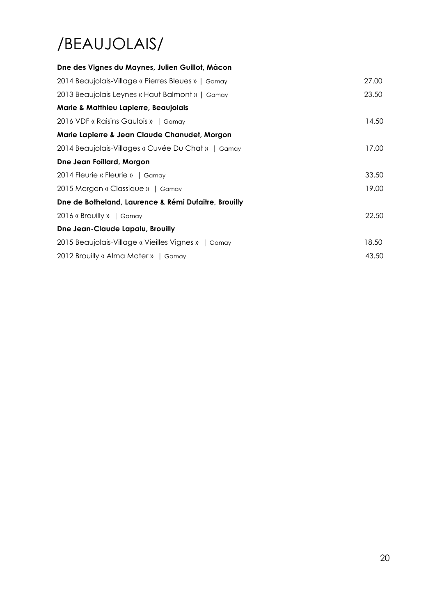# /BEAUJOLAIS/

| Dne des Vignes du Maynes, Julien Guillot, Mâcon      |       |
|------------------------------------------------------|-------|
| 2014 Beaujolais-Village « Pierres Bleues »   Gamay   | 27.00 |
| 2013 Beaujolais Leynes « Haut Balmont »   Gamay      | 23.50 |
| Marie & Matthieu Lapierre, Beaujolais                |       |
| 2016 VDF « Raisins Gaulois »   Gamay                 | 14.50 |
| Marie Lapierre & Jean Claude Chanudet, Morgon        |       |
| 2014 Beaujolais-Villages « Cuvée Du Chat »   Gamay   | 17.00 |
| Dne Jean Foillard, Morgon                            |       |
| 2014 Fleurie « Fleurie »   Gamay                     | 33.50 |
| 2015 Morgon « Classique »   Gamay                    | 19.00 |
| Dne de Botheland, Laurence & Rémi Dufaitre, Brouilly |       |
| 2016 « Brouilly »   Gamay                            | 22.50 |
| Dne Jean-Claude Lapalu, Brouilly                     |       |
| 2015 Beaujolais-Village « Vieilles Vignes »   Gamay  | 18.50 |
| 2012 Brouilly « Alma Mater »   Gamay                 | 43.50 |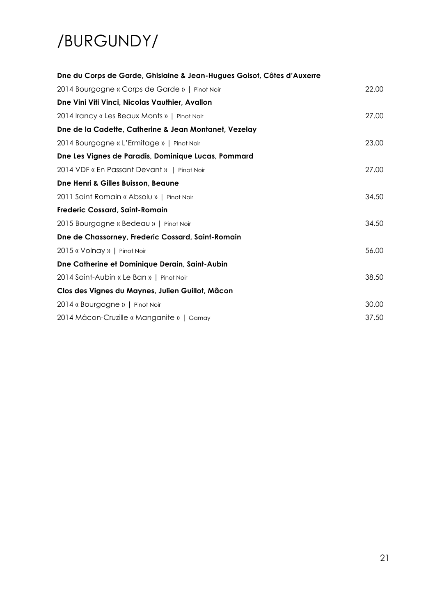# /BURGUNDY/

| Dne du Corps de Garde, Ghislaine & Jean-Hugues Goisot, Côtes d'Auxerre |       |
|------------------------------------------------------------------------|-------|
| 2014 Bourgogne « Corps de Garde »   Pinot Noir                         | 22.00 |
| Dne Vini Viti Vinci, Nicolas Vauthier, Avallon                         |       |
| 2014 Irancy « Les Beaux Monts »   Pinot Noir                           | 27.00 |
| Dne de la Cadette, Catherine & Jean Montanet, Vezelay                  |       |
| 2014 Bourgogne « L'Ermitage »   Pinot Noir                             | 23.00 |
| Dne Les Vignes de Paradis, Dominique Lucas, Pommard                    |       |
| 2014 VDF « En Passant Devant »   Pinot Noir                            | 27.00 |
| Dne Henri & Gilles Buisson, Beaune                                     |       |
| 2011 Saint Romain « Absolu »   Pinot Noir                              | 34.50 |
| <b>Frederic Cossard, Saint-Romain</b>                                  |       |
| 2015 Bourgogne « Bedeau »   Pinot Noir                                 | 34.50 |
| Dne de Chassorney, Frederic Cossard, Saint-Romain                      |       |
| 2015 « Volnay »   Pinot Noir                                           | 56.00 |
| Dne Catherine et Dominique Derain, Saint-Aubin                         |       |
| 2014 Saint-Aubin « Le Ban »   Pinot Noir                               | 38.50 |
| Clos des Vignes du Maynes, Julien Guillot, Mâcon                       |       |
| 2014 « Bourgogne »   Pinot Noir                                        | 30.00 |
| 2014 Mâcon-Cruzille « Manganite »   Gamay                              | 37.50 |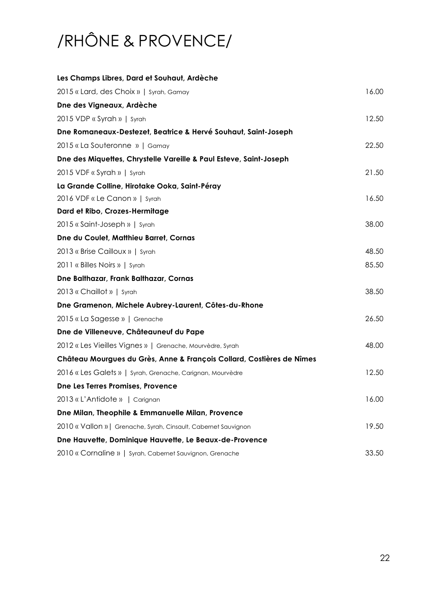# /RHÔNE & PROVENCE/

| Les Champs Libres, Dard et Souhaut, Ardèche                           |       |
|-----------------------------------------------------------------------|-------|
| 2015 « Lard, des Choix »   Syrah, Gamay                               | 16.00 |
| Dne des Vigneaux, Ardèche                                             |       |
| 2015 VDP « Syrah »   Syrah                                            | 12.50 |
| Dne Romaneaux-Destezet, Beatrice & Hervé Souhaut, Saint-Joseph        |       |
| 2015 «La Souteronne »   Gamay                                         | 22.50 |
| Dne des Miquettes, Chrystelle Vareille & Paul Esteve, Saint-Joseph    |       |
| 2015 VDF « Syrah »   Syrah                                            | 21.50 |
| La Grande Colline, Hirotake Ooka, Saint-Péray                         |       |
| 2016 VDF « Le Canon »   Syrah                                         | 16.50 |
| Dard et Ribo, Crozes-Hermitage                                        |       |
| 2015 « Saint-Joseph »   Syrah                                         | 38.00 |
| Dne du Coulet, Matthieu Barret, Cornas                                |       |
| 2013 « Brise Cailloux »   Syrah                                       | 48.50 |
| 2011 « Billes Noirs »   Syrah                                         | 85.50 |
| Dne Balthazar, Frank Balthazar, Cornas                                |       |
| 2013 « Chaillot »   Syrah                                             | 38.50 |
| Dne Gramenon, Michele Aubrey-Laurent, Côtes-du-Rhone                  |       |
| 2015 « La Sagesse »   Grenache                                        | 26.50 |
| Dne de Villeneuve, Châteauneuf du Pape                                |       |
| 2012 « Les Vieilles Vignes »   Grenache, Mourvèdre, Syrah             | 48.00 |
| Château Mourgues du Grès, Anne & François Collard, Costières de Nîmes |       |
| 2016 « Les Galets »   Syrah, Grenache, Carignan, Mourvèdre            | 12.50 |
| Dne Les Terres Promises, Provence                                     |       |
| 2013 « L'Antidote »   Carignan                                        | 16.00 |
| Dne Milan, Theophile & Emmanuelle Milan, Provence                     |       |
| 2010 « Vallon »   Grenache, Syrah, Cinsault, Cabernet Sauvignon       | 19.50 |
| Dne Hauvette, Dominique Hauvette, Le Beaux-de-Provence                |       |
| 2010 « Cornaline »   Syrah, Cabernet Sauvignon, Grenache              | 33.50 |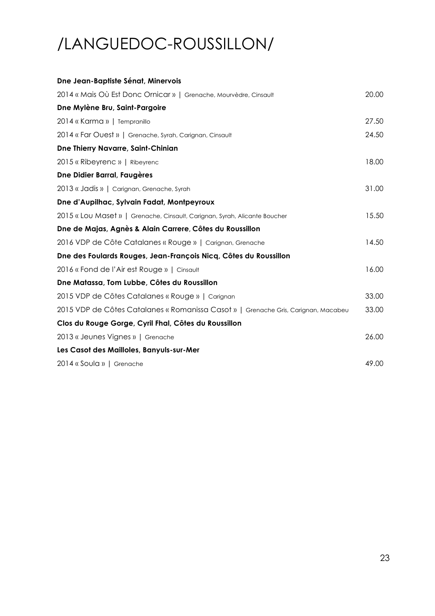# /LANGUEDOC-ROUSSILLON/

| Dne Jean-Baptiste Sénat, Minervois                                                 |       |
|------------------------------------------------------------------------------------|-------|
| 2014 « Mais Où Est Donc Ornicar »   Grenache, Mourvèdre, Cinsault                  | 20.00 |
| Dne Mylène Bru, Saint-Pargoire                                                     |       |
| 2014 « Karma »   Tempranillo                                                       | 27.50 |
| 2014 « Far Ouest »   Grenache, Syrah, Carignan, Cinsault                           | 24.50 |
| Dne Thierry Navarre, Saint-Chinian                                                 |       |
| 2015 « Ribeyrenc »   Ribeyrenc                                                     | 18.00 |
| Dne Didier Barral, Faugères                                                        |       |
| 2013 « Jadis »   Carignan, Grenache, Syrah                                         | 31.00 |
| Dne d'Aupilhac, Sylvain Fadat, Montpeyroux                                         |       |
| 2015 « Lou Maset »   Grenache, Cinsault, Carignan, Syrah, Alicante Boucher         | 15.50 |
| Dne de Majas, Agnès & Alain Carrere, Côtes du Roussillon                           |       |
| 2016 VDP de Côte Catalanes « Rouge »   Carignan, Grenache                          | 14.50 |
| Dne des Foulards Rouges, Jean-François Nicq, Côtes du Roussillon                   |       |
| 2016 « Fond de l'Air est Rouge »   Cinsault                                        | 16.00 |
| Dne Matassa, Tom Lubbe, Côtes du Roussillon                                        |       |
| 2015 VDP de Côtes Catalanes « Rouge »   Carignan                                   | 33.00 |
| 2015 VDP de Côtes Catalanes « Romanissa Casot »   Grenache Gris, Carignan, Macabeu | 33.00 |
| Clos du Rouge Gorge, Cyril Fhal, Côtes du Roussillon                               |       |
| 2013 « Jeunes Vignes »   Grenache                                                  | 26.00 |
| Les Casot des Mailloles, Banyuls-sur-Mer                                           |       |
| 2014 « Soula »   Grenache                                                          | 49.00 |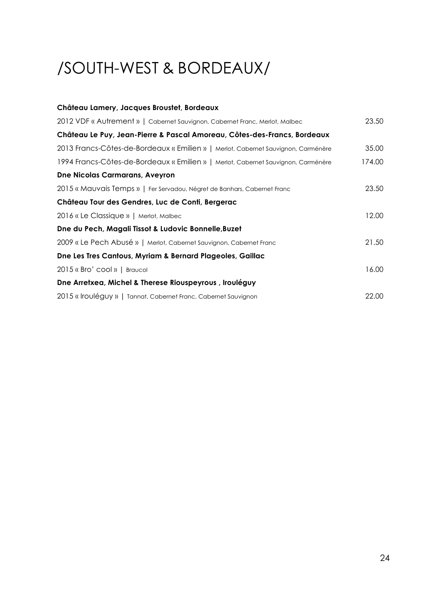# /SOUTH-WEST & BORDEAUX/

| Château Lamery, Jacques Broustet, Bordeaux                                        |        |
|-----------------------------------------------------------------------------------|--------|
| 2012 VDF « Autrement »   Cabernet Sauvignon, Cabernet Franc, Merlot, Malbec       | 23.50  |
| Château Le Puy, Jean-Pierre & Pascal Amoreau, Côtes-des-Francs, Bordeaux          |        |
| 2013 Francs-Côtes-de-Bordeaux « Emilien »   Merlot, Cabernet Sauvignon, Carménère | 35.00  |
| 1994 Francs-Côtes-de-Bordeaux « Emilien »   Merlot, Cabernet Sauvignon, Carménère | 174.00 |
| <b>Dne Nicolas Carmarans, Aveyron</b>                                             |        |
| 2015 « Mauvais Temps »   Fer Servadou, Négret de Banhars, Cabernet Franc          | 23.50  |
| Château Tour des Gendres, Luc de Conti, Bergerac                                  |        |
| 2016 « Le Classique »   Merlot, Malbec                                            | 12.00  |
| Dne du Pech, Magali Tissot & Ludovic Bonnelle, Buzet                              |        |
| 2009 « Le Pech Abusé »   Merlot, Cabernet Sauvignon, Cabernet Franc               | 21.50  |
| Dne Les Tres Cantous, Myriam & Bernard Plageoles, Gaillac                         |        |
| 2015 « Bro' cool »   Braucol                                                      | 16.00  |
| Dne Arretxea, Michel & Therese Riouspeyrous, Irouléguy                            |        |
| 2015 « Irouléguy »   Tannat, Cabernet Franc, Cabernet Sauvignon                   | 22.00  |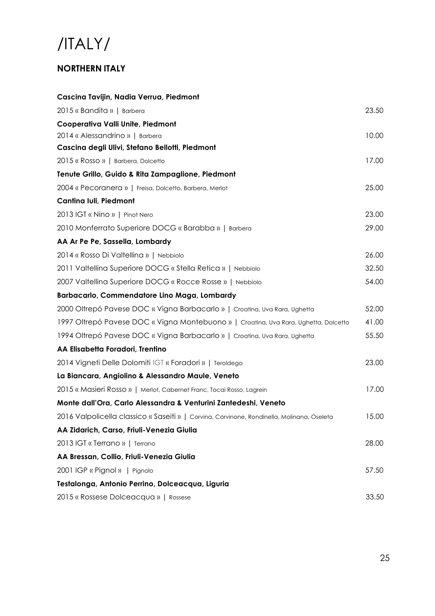## /ITALY/

### **NORTHERN ITALY**

| Cascina Tavijin, Nadia Verrua, Piedmont                                                    |       |
|--------------------------------------------------------------------------------------------|-------|
| 2015 « Bandita »   Barbera                                                                 | 23.50 |
| Cooperativa Valli Unite, Piedmont                                                          |       |
| 2014 « Alessandrino »   Barbera                                                            | 10.00 |
| Cascina degli Ulivi, Stefano Bellotti, Piedmont                                            |       |
| 2015 « Rosso »   Barbera, Dolcetto                                                         | 17.00 |
| Tenute Grillo, Guido & Rita Zampaglione, Piedmont                                          |       |
| 2004 « Pecoranera »   Freisa, Dolcetto, Barbera, Merlot                                    | 25.00 |
| Cantina Iuli, Piedmont                                                                     |       |
| 2013 IGT « Nino »   Pinot Nero                                                             | 23.00 |
| 2010 Monferrato Superiore DOCG « Barabba »   Barbera                                       | 29.00 |
| AA Ar Pe Pe, Sassella, Lombardy                                                            |       |
| 2014 « Rosso Di Valtellina »   Nebbiolo                                                    | 26.00 |
| 2011 Valtellina Superiore DOCG « Stella Retica »   Nebbiolo                                | 32.50 |
| 2007 Valtellina Superiore DOCG « Rocce Rosse »   Nebbiolo                                  | 54.00 |
| Barbacarlo, Commendatore Lino Maga, Lombardy                                               |       |
| 2000 Oltrepó Pavese DOC « Vigna Barbacarlo »   Croatina, Uva Rara, Ughetta                 | 52.00 |
| 1997 Oltrepó Pavese DOC « Vigna Montebuono »   Croatina, Uva Rara, Ughetta, Dolcetto       | 41.00 |
| 1994 Oltrepó Pavese DOC « Vigna Barbacarlo »   Croatina, Uva Rara, Ughetta                 | 55.50 |
| AA Elisabetta Foradori, Trentino                                                           |       |
| 2014 Vigneti Delle Dolomiti IGT « Foradori »   Teroldego                                   | 23.00 |
| La Biancara, Angiolino & Alessandro Maule, Veneto                                          |       |
| 2015 « Masieri Rosso »   Merlot, Cabernet Franc, Tocai Rosso, Lagrein                      | 17.00 |
| Monte dall'Ora, Carlo Alessandra & Venturini Zantedeshi, Veneto                            |       |
| 2016 Valpolicella classico « Saseiti »   Corvina, Corvinone, Rondinella, Molinana, Oseleta | 15.00 |
| AA Zidarich, Carso, Friuli-Venezia Giulia                                                  |       |
| 2013 IGT « Terrano »   Terrano                                                             | 28.00 |
| AA Bressan, Collio, Friuli-Venezia Giulia                                                  |       |
| 2001 IGP « Pignol »   Pignolo                                                              | 57.50 |
| Testalonga, Antonio Perrino, Dolceacqua, Liguria                                           |       |
| 2015 « Rossese Dolceacqua »   Rossese                                                      | 33.50 |
|                                                                                            |       |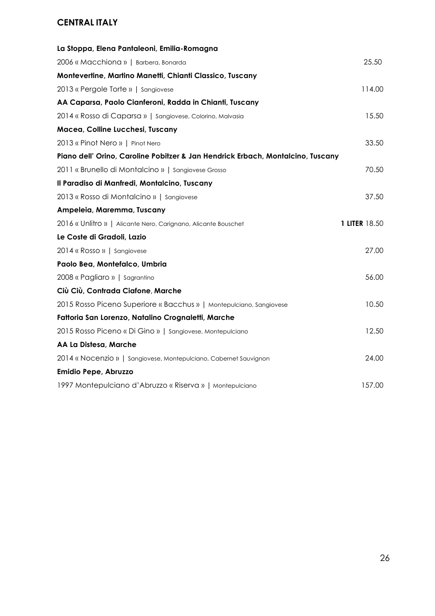### **CENTRAL ITALY**

| La Stoppa, Elena Pantaleoni, Emilia-Romagna                                     |               |
|---------------------------------------------------------------------------------|---------------|
| 2006 « Macchiona »   Barbera, Bonarda                                           | 25.50         |
| Montevertine, Martino Manetti, Chianti Classico, Tuscany                        |               |
| 2013 « Pergole Torte »   Sangiovese                                             | 114.00        |
| AA Caparsa, Paolo Cianferoni, Radda in Chianti, Tuscany                         |               |
| 2014 « Rosso di Caparsa »   Sangiovese, Colorino, Malvasia                      | 15.50         |
| Macea, Colline Lucchesi, Tuscany                                                |               |
| 2013 « Pinot Nero »   Pinot Nero                                                | 33.50         |
| Piano dell' Orino, Caroline Pobitzer & Jan Hendrick Erbach, Montalcino, Tuscany |               |
| 2011 « Brunello di Montalcino »   Sangiovese Grosso                             | 70.50         |
| Il Paradiso di Manfredi, Montalcino, Tuscany                                    |               |
| 2013 « Rosso di Montalcino »   Sangiovese                                       | 37.50         |
| Ampeleia, Maremma, Tuscany                                                      |               |
|                                                                                 |               |
| 2016 « Unlitro »   Alicante Nero, Carignano, Alicante Bouschet                  | 1 LITER 18.50 |
| Le Coste di Gradoli, Lazio                                                      |               |
| 2014 « Rosso »   Sangiovese                                                     | 27.00         |
| Paolo Bea, Montefalco, Umbria                                                   |               |
| 2008 « Pagliaro »   Sagrantino                                                  | 56.00         |
| Ciù Ciù, Contrada Ciafone, Marche                                               |               |
| 2015 Rosso Piceno Superiore « Bacchus »   Montepulciano, Sangiovese             | 10.50         |
| Fattoria San Lorenzo, Natalino Crognaletti, Marche                              |               |
| 2015 Rosso Piceno « Di Gino »   Sangiovese, Montepulciano                       | 12.50         |
| AA La Distesa, Marche                                                           |               |
| 2014 « Nocenzio »   Sangiovese, Montepulciano, Cabernet Sauvignon               | 24.00         |
| Emidio Pepe, Abruzzo                                                            |               |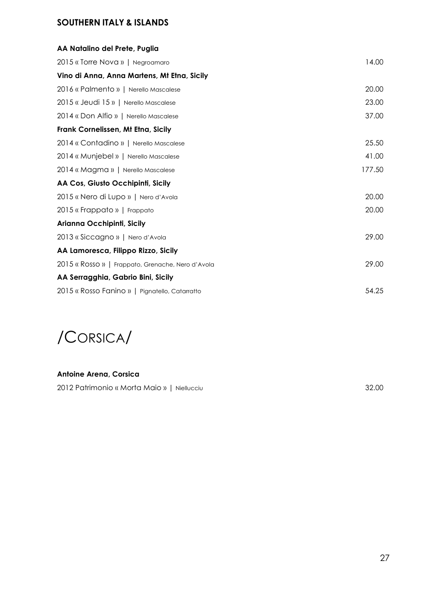### **SOUTHERN ITALY & ISLANDS**

| AA Natalino del Prete, Puglia                     |        |
|---------------------------------------------------|--------|
| 2015 « Torre Nova »   Negroamaro                  | 14.00  |
| Vino di Anna, Anna Martens, Mt Etna, Sicily       |        |
| 2016 « Palmento »   Nerello Mascalese             | 20.00  |
| 2015 « Jeudi 15 »   Nerello Mascalese             | 23.00  |
| 2014 « Don Alfio »   Nerello Mascalese            | 37.00  |
| Frank Cornelissen, Mt Etna, Sicily                |        |
| 2014 « Contadino »   Nerello Mascalese            | 25.50  |
| 2014 « Munjebel »   Nerello Mascalese             | 41.00  |
| 2014 « Magma »   Nerello Mascalese                | 177.50 |
| AA Cos, Giusto Occhipinti, Sicily                 |        |
| 2015 « Nero di Lupo »   Nero d'Avola              | 20.00  |
| 2015 « Frappato »   Frappato                      | 20.00  |
| Arianna Occhipinti, Sicily                        |        |
| 2013 « Siccagno »   Nero d'Avola                  | 29.00  |
| AA Lamoresca, Filippo Rizzo, Sicily               |        |
| 2015 « Rosso »   Frappato, Grenache, Nero d'Avola | 29.00  |
| AA Serragghia, Gabrio Bini, Sicily                |        |
| 2015 « Rosso Fanino »   Pignatello, Catarratto    | 54.25  |

/CORSICA/

#### **Antoine Arena, Corsica**

2012 Patrimonio « Morta Maio » | Niellucciu 32.00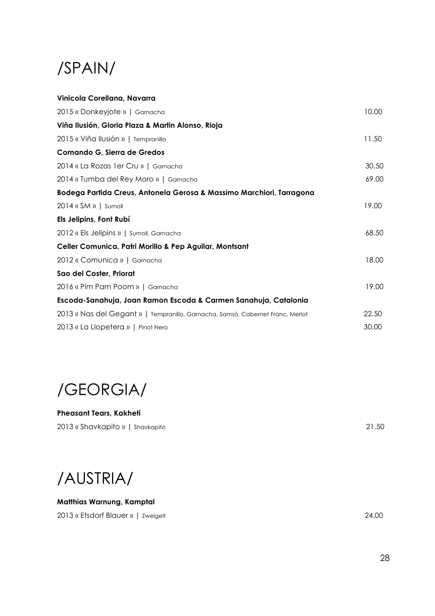## /SPAIN/

| Vinicola Corellana, Navarra                                                    |       |
|--------------------------------------------------------------------------------|-------|
| 2015 « Donkeyjote »   Garnacha                                                 | 10.00 |
| Viña Ilusión, Gloria Plaza & Martin Alonso, Rioja                              |       |
| 2015 « Viña Ilusión »   Tempranillo                                            | 11.50 |
| Comando G, Sierra de Gredos                                                    |       |
| 2014 « La Rozas 1 er Cru »   Garnacha                                          | 30.50 |
| 2014 « Tumba del Rey Moro »   Garnacha                                         | 69.00 |
| Bodega Partida Creus, Antonela Gerosa & Massimo Marchiori, Tarragona           |       |
| 2014 « SM »   Sumoll                                                           | 19.00 |
| Els Jelipins, Font Rubí                                                        |       |
| 2012 « Els Jelipins »   Sumoll, Garnacha                                       | 68.50 |
| Celler Comunica, Patri Morillo & Pep Aguilar, Montsant                         |       |
| 2012 « Comunica »   Garnacha                                                   | 18.00 |
| Sao del Coster, Priorat                                                        |       |
| 2016 « Pim Pam Poom »   Garnacha                                               | 19.00 |
| Escoda-Sanahuja, Joan Ramon Escoda & Carmen Sanahuja, Catalonia                |       |
| 2013 « Nas del Gegant »   Tempranillo, Garnacha, Samsó, Cabernet Franc, Merlot | 22.50 |
| 2013 « La Llopetera »   Pinot Nero                                             | 30.00 |

/GEORGIA/

**Pheasant Tears, Kakheti** 2013 « Shavkapito » | Shavkapito 21.50

/AUSTRIA/

**Matthias Warnung, Kamptal**

2013 « Etsdorf Blauer » | Zweigelt 24.00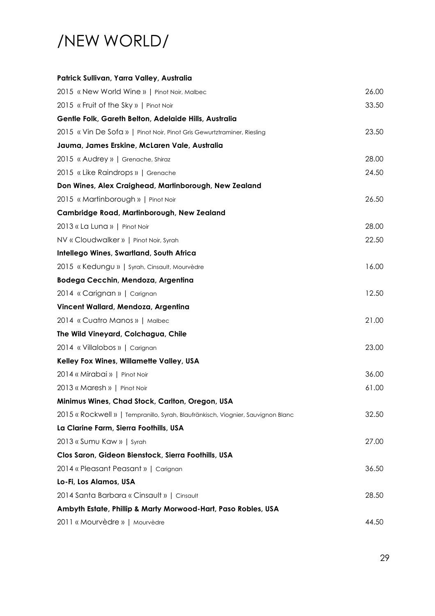### /NEW WORLD/

| Patrick Sullivan, Yarra Valley, Australia                                        |       |
|----------------------------------------------------------------------------------|-------|
| 2015 « New World Wine »   Pinot Noir, Malbec                                     | 26.00 |
| 2015 « Fruit of the Sky »   Pinot Noir                                           | 33.50 |
| Gentle Folk, Gareth Belton, Adelaide Hills, Australia                            |       |
| 2015 « Vin De Sofa »   Pinot Noir, Pinot Gris Gewurtztraminer, Riesling          | 23.50 |
| Jauma, James Erskine, McLaren Vale, Australia                                    |       |
| 2015 « Audrey »   Grenache, Shiraz                                               | 28.00 |
| 2015 « Like Raindrops »   Grenache                                               | 24.50 |
| Don Wines, Alex Craighead, Martinborough, New Zealand                            |       |
| 2015 « Martinborough »   Pinot Noir                                              | 26.50 |
| Cambridge Road, Martinborough, New Zealand                                       |       |
| 2013 « La Luna »   Pinot Noir                                                    | 28.00 |
| NV « Cloudwalker »   Pinot Noir, Syrah                                           | 22.50 |
| Intellego Wines, Swartland, South Africa                                         |       |
| 2015 « Kedungu »   Syrah, Cinsault, Mourvèdre                                    | 16.00 |
| Bodega Cecchin, Mendoza, Argentina                                               |       |
| 2014 « Carignan »   Carignan                                                     | 12.50 |
| Vincent Wallard, Mendoza, Argentina                                              |       |
| 2014 « Cuatro Manos »   Malbec                                                   | 21.00 |
| The Wild Vineyard, Colchagua, Chile                                              |       |
| 2014 « Villalobos »   Carignan                                                   | 23.00 |
| Kelley Fox Wines, Willamette Valley, USA                                         |       |
| 2014 « Mirabai »   Pinot Noir                                                    | 36.00 |
| 2013 « Maresh »   Pinot Noir                                                     | 61.00 |
| Minimus Wines, Chad Stock, Carlton, Oregon, USA                                  |       |
| 2015 « Rockwell »   Tempranillo, Syrah, Blaufränkisch, Viognier, Sauvignon Blanc | 32.50 |
| La Clarine Farm, Sierra Foothills, USA                                           |       |
| 2013 « Sumu Kaw »   Syrah                                                        | 27.00 |
| Clos Saron, Gideon Bienstock, Sierra Foothills, USA                              |       |
| 2014 « Pleasant Peasant »   Carignan                                             | 36.50 |
| Lo-Fi, Los Alamos, USA                                                           |       |
| 2014 Santa Barbara « Cinsault »   Cinsault                                       | 28.50 |
| Ambyth Estate, Phillip & Marty Morwood-Hart, Paso Robles, USA                    |       |
| 2011 « Mourvèdre »   Mourvèdre                                                   | 44.50 |